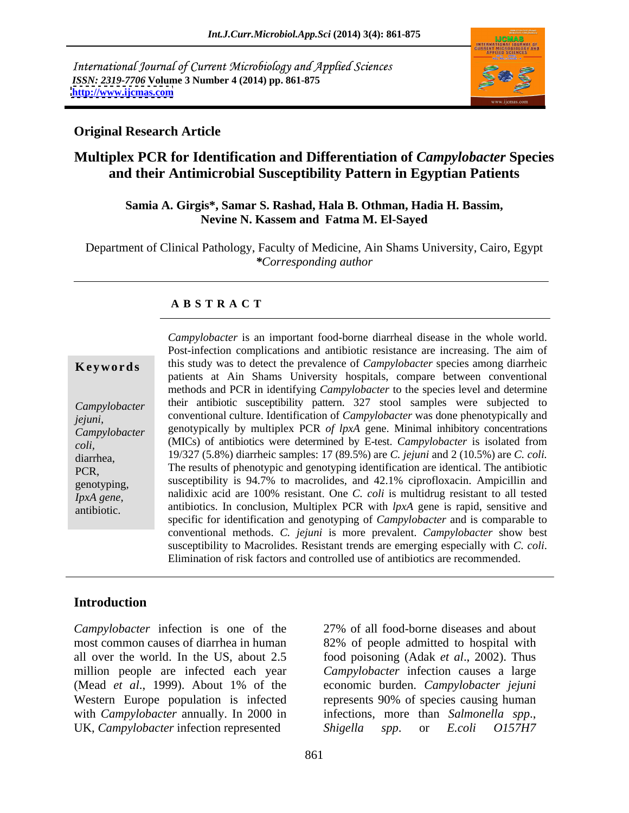International Journal of Current Microbiology and Applied Sciences *ISSN: 2319-7706* **Volume 3 Number 4 (2014) pp. 861-875 <http://www.ijcmas.com>**



## **Original Research Article**

# **Multiplex PCR for Identification and Differentiation of** *Campylobacter* **Species and their Antimicrobial Susceptibility Pattern in Egyptian Patients**

### **Samia A. Girgis\*, Samar S. Rashad, Hala B. Othman, Hadia H. Bassim, Nevine N. Kassem and Fatma M. El-Sayed**

Department of Clinical Pathology, Faculty of Medicine, Ain Shams University, Cairo, Egypt *\*Corresponding author*

### **A B S T R A C T**

**Keywords** this study was to detect the prevalence of *Campylobacter* species among diarrheic *Campylobacter*  their antibiotic susceptibility pattern. 327 stool samples were subjected to *jejuni,*  conventional culture. Identification of *Campylobacter* was done phenotypically and *Campylobacter*  genotypically by multiplex PCR *of lpxA* gene. Minimal inhibitory concentrations *coli,* (MICs) of antibiotics were determined by E-test. *Campylobacter* is isolated from diarrhea, 19/327 (5.8%) diarrheic samples: 17 (89.5%) are *C. jejuni* and 2 (10.5%) are *C. coli.*  PCR, The results of phenotypic and genotyping identification are identical. The antibiotic genotyping, susceptibility is 94.7% to macrolides, and 42.1% ciprofloxacin. Ampicillin and *IpxA gene*, and national antibiotics. In conclusion, Multiplex PCR with *lpxA* gene is rapid, sensitive and antibiotics. *Campylobacter* is an important food-borne diarrheal disease in the whole world. Post-infection complications and antibiotic resistance are increasing. The aim of patients at Ain Shams University hospitals, compare between conventional methods and PCR in identifying *Campylobacter* to the species level and determine nalidixic acid are 100% resistant One*C. coli* is multidrug resistant to all tested specific for identification and genotyping of *Campylobacter* and is comparable to conventional methods. *C. jejuni* is more prevalent. *Campylobacter* show best susceptibility to Macrolides. Resistant trends are emerging especially with *C. coli*. Elimination of risk factors and controlled use of antibiotics are recommended.

### **Introduction**

*Campylobacter* infection is one of the most common causes of diarrhea in human 82% of people admitted to hospital with all over the world. In the US, about 2.5 food poisoning (Adak *et al*., 2002). Thus million people are infected each year (Mead *et al*., 1999). About 1% of the Western Europe population is infected represents 90% of species causing human with *Campylobacter* annually. In 2000 in UK, *Campylobacter* infection represented Shigella spp. or *E.coli* 0157H7

27% of all food-borne diseases and about *Campylobacter* infection causes a large economic burden. *Campylobacter jejuni* infections, more than *Salmonella spp*., *Shigella spp*. or *E.coli O157H7*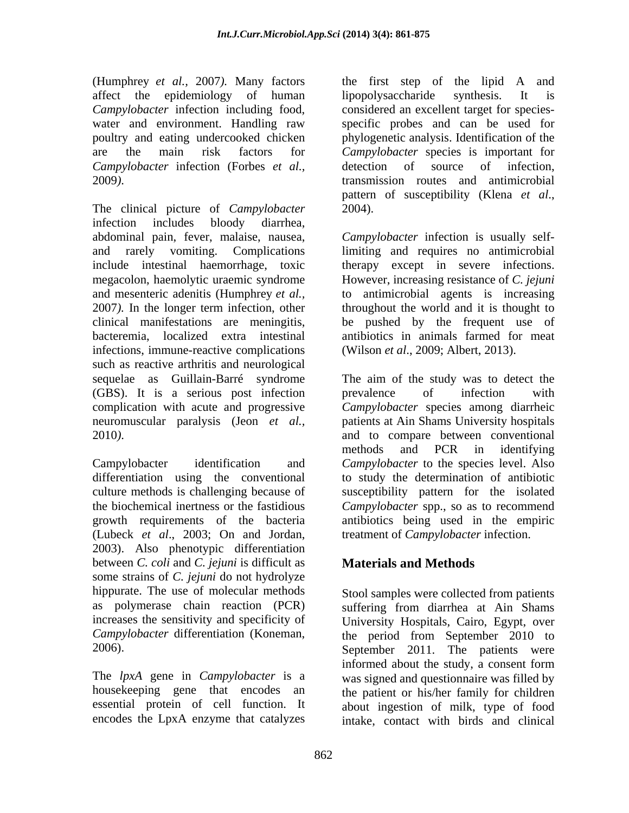(Humphrey *et al.,* 2007*).* Many factors affect the epidemiology of human lipopolysaccharide synthesis. It is *Campylobacter* infection including food, considered an excellent target for species water and environment. Handling raw specific probes and can be used for poultry and eating undercooked chicken phylogenetic analysis. Identification of the are the main risk factors for *Campylobacter* species is important for *Campylobacter* infection (Forbes *et al.,*

The clinical picture of *Campylobacter* 2004). infection includes bloody diarrhea, abdominal pain, fever, malaise, nausea, *Campylobacter* infection is usually selfand rarely vomiting. Complications limiting and requires no antimicrobial include intestinal haemorrhage, toxic therapy except in severe infections. megacolon, haemolytic uraemic syndrome However, increasing resistance of *C. jejuni* and mesenteric adenitis (Humphrey *et al.,* to antimicrobial agents is increasing 2007*).* In the longer term infection, other throughout the world and it is thought to clinical manifestations are meningitis, be pushed by the frequent use of bacteremia, localized extra intestinal antibiotics in animals farmed for meat infections, immune-reactive complications such as reactive arthritis and neurological (GBS). It is a serious post infection neuromuscular paralysis (Jeon *et al.,*

(Lubeck *et al*., 2003; On and Jordan, 2003). Also phenotypic differentiation between *C. coli* and *C. jejuni* is difficult as some strains of *C. jejuni* do not hydrolyze hippurate. The use of molecular methods as polymerase chain reaction (PCR) suffering from diarrhea at Ain Shams

The *lpxA* gene in *Campylobacter* is a

2009*)*. transmission routes and antimicrobial the first step of the lipid A and lipopolysaccharide synthesis. It is detection of source of infection, pattern of susceptibility (Klena *et al*., 2004).

(Wilson *et al*., 2009; Albert, 2013).

sequelae as Guillain-Barré syndrome The aim of the study was to detect the complication with acute and progressive *Campylobacter* species among diarrheic 2010*)*. and to compare between conventional Campylobacter identification and *Campylobacter* to the species level. Also differentiation using the conventional to study the determination of antibiotic culture methods is challenging because of susceptibility pattern for the isolated the biochemical inertness or the fastidious *Campylobacter* spp., so as to recommend growth requirements of the bacteria antibiotics being used in the empiric prevalence of infection with patients at Ain Shams University hospitals methods and PCR in identifying treatment of *Campylobacter* infection.

# **Materials and Methods**

increases the sensitivity and specificity of University Hospitals, Cairo, Egypt, over *Campylobacter* differentiation (Koneman, the period from September 2010 to September 2011. The patients were housekeeping gene that encodes an the patient or his/her family for children essential protein of cell function. It about ingestion of milk, type of food encodes the LpxA enzyme that catalyzes intake, contact with birds and clinicalStool samples were collected from patients suffering from diarrhea at Ain Shams the period from September 2010 to September 2011. The patients were informed about the study, a consent form was signed and questionnaire was filled by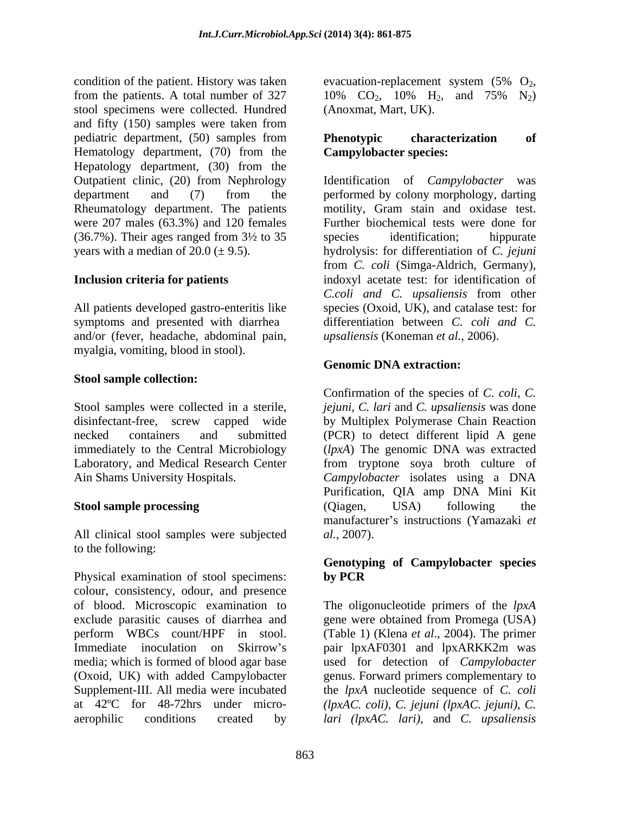condition of the patient. History was taken evacuation-replacement system  $(5\%$  O<sub>2</sub>, from the patients. A total number of 327  $10\%$  CO<sub>2</sub>, 10% H<sub>2</sub>, and 75% N<sub>2</sub>) stool specimens were collected. Hundred and fifty (150) samples were taken from pediatric department, (50) samples from **Phenotypic** characterization of Hematology department, (70) from the Hepatology department, (30) from the Outpatient clinic, (20) from Nephrology Identification of *Campylobacter* was Rheumatology department. The patients were 207 males (63.3%) and 120 females  $(36.7\%)$ . Their ages ranged from  $3\frac{1}{2}$  to  $35$  species identification; hippurate

symptoms and presented with diarrhea and/or (fever, headache, abdominal pain, myalgia, vomiting, blood in stool).

### **Stool sample collection:**

All clinical stool samples were subjected al., 2007). to the following:

Physical examination of stool specimens: by PCR colour, consistency, odour, and presence of blood. Microscopic examination to The oligonucleotide primers of the *lpxA* exclude parasitic causes of diarrhea and gene were obtained from Promega (USA) perform WBCs count/HPF in stool. (Table 1) (Klena *et al*., 2004). The primer Immediate inoculation on Skirrow's pair lpxAF0301 and lpxARKK2m was media; which is formed of blood agar base used for detection of *Campylobacter* (Oxoid, UK) with added Campylobacter genus. Forward primers complementary to Supplement-III. All media were incubated the *lpxA* nucleotide sequence of *C. coli* at 42ºC for 48-72hrs under micro- *(lpxAC. coli), C. jejuni (lpxAC. jejuni), C.* aerophilic conditions created by *lari (lpxAC. lari),* and *C. upsaliensis*

evacuation-replacement system  $(5\% \text{ O}_2, 10\% \text{ CO}_2, 10\% \text{ H}_2, \text{ and } 75\% \text{ N}_2)$ (Anoxmat, Mart, UK).

## **Phenotypic characterization of Campylobacter species:**

department and (7) from the performed by colony morphology, darting years with a median of 20.0 (± 9.5). hydrolysis: for differentiation of *C. jejuni* **Inclusion criteria for patients** indoxyl acetate test: for identification of All patients developed gastro-enteritis like species (Oxoid*,* UK), and catalase test: for Identification of *Campylobacter* performed by colony morphology, darting motility, Gram stain and oxidase test. Further biochemical tests were done for species identification; hippurate from *C. coli* (Simga-Aldrich, Germany), indoxyl acetate test: for identification of *C.coli and C. upsaliensis* from other differentiation between *C. coli and C. upsaliensis* (Koneman *et al.,* 2006).

## **Genomic DNA extraction:**

Stool samples were collected in a sterile, *jejuni, C. lari* and *C. upsaliensis* was done disinfectant-free, screw capped wide by Multiplex Polymerase Chain Reaction necked containers and submitted (PCR) to detect different lipid A gene immediately to the Central Microbiology (*lpxA*) The genomic DNA was extracted Laboratory, and Medical Research Center from tryptone soya broth culture of Ain Shams University Hospitals. *Campylobacter* isolates using a DNA **Stool sample processing** (Qiagen, USA) following the Confirmation of the species of *C. coli, C.* Purification, QIA amp DNA Mini Kit (Qiagen, USA) following the manufacturer's instructions (Yamazaki et *al.*, 2007).

## **Genotyping of Campylobacter species by PCR**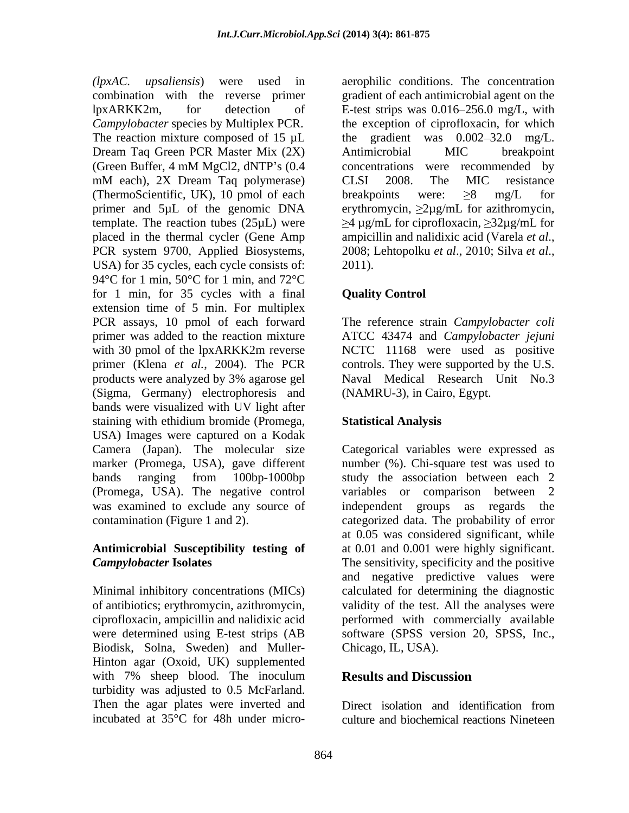*(lpxAC. upsaliensis*) were used in aerophilic conditions. The concentration combination with the reverse primer gradient of each antimicrobial agent on the lpxARKK2m, for detection of E-test strips was 0.016–256.0 mg/L, with *Campylobacter* species by Multiplex PCR. the exception of ciprofloxacin, for which The reaction mixture composed of 15  $\mu$ L the Dream Taq Green PCR Master Mix (2X) Antimicrobial MIC breakpoint (Green Buffer, 4 mM MgCl2, dNTP's (0.4 concentrations were recommended by mM each), 2X Dream Taq polymerase) CLSI 2008. The MIC resistance (ThermoScientific, UK), 10 pmol of each breakpoints were:  $\geq 8$  mg/L for primer and  $5\mu$ L of the genomic DNA erythromycin,  $\geq 2\mu$ g/mL for azithromycin, template. The reaction tubes (25 $\mu$ L) were  $\geq 4 \mu$ g/mL for ciprofloxacin,  $\geq 32 \mu$ g/mL for placed in the thermal cycler (Gene Amp ampicillin and nalidixic acid (Varela et al., PCR system 9700, Applied Biosystems, 2008; Lehtopolku et al., 2010; Silva et al., USA) for 35 cycles, each cycle consists of: 2011). 94°C for 1 min, 50°C for 1 min, and 72°C for 1 min, for 35 cycles with a final extension time of 5 min. For multiplex PCR assays, 10 pmol of each forward The reference strain *Campylobacter coli* primer was added to the reaction mixture ATCC 43474 and *Campylobacter jejuni* with 30 pmol of the lpxARKK2m reverse NCTC 11168 were used as positive primer (Klena *et al.*, 2004). The PCR controls. They were supported by the U.S. products were analyzed by 3% agarose gel (Sigma, Germany) electrophoresis and bands were visualized with UV light after staining with ethidium bromide (Promega, USA) Images were captured on a Kodak Camera (Japan). The molecular size marker (Promega, USA), gave different number (%). Chi-square test was used to bands ranging from 100bp-1000bp study the association between each 2 (Promega, USA). The negative control variables or comparison between 2 was examined to exclude any source of independent groups as regards the contamination (Figure 1 and 2). categorized data. The probability of error

Biodisk, Solna, Sweden) and Muller- Hinton agar (Oxoid, UK) supplemented with 7% sheep blood. The inoculum **Results and Discussion** turbidity was adjusted to 0.5 McFarland. Then the agar plates were inverted and<br>incubated at 35<sup>o</sup>C for 48h under micro-<br>culture and biochemical reactions Nineteen

gradient was  $0.002 - 32.0$  mg/L. Antimicrobial MIC breakpoint concentrations were recommended by CLSI 2008. The MIC resistance breakpoints were:  $\geq 8$  mg/L for ampicillin and nalidixic acid (Varela *et al*., 2008; Lehtopolku *et al*., 2010; Silva *et al*., 2011).

## **Quality Control**

Naval Medical Research Unit No.3 (NAMRU-3), in Cairo, Egypt.

## **Statistical Analysis**

**Antimicrobial Susceptibility testing of** at 0.01 and 0.001 were highly significant. *Campylobacter* **Isolates** The sensitivity, specificity and the positive Minimal inhibitory concentrations (MICs) calculated for determining the diagnostic of antibiotics; erythromycin, azithromycin, validity of the test. All the analyses were ciprofloxacin, ampicillin and nalidixic acid performed with commercially available were determined using E-test strips (AB software (SPSS version 20, SPSS, Inc., Categorical variables were expressed as independent groups as at 0.05 was considered significant, while and negative predictive values were Chicago, IL, USA).

## **Results and Discussion**

incubated at 35°C for 48h under micro-culture and biochemical reactions NineteenDirect isolation and identification from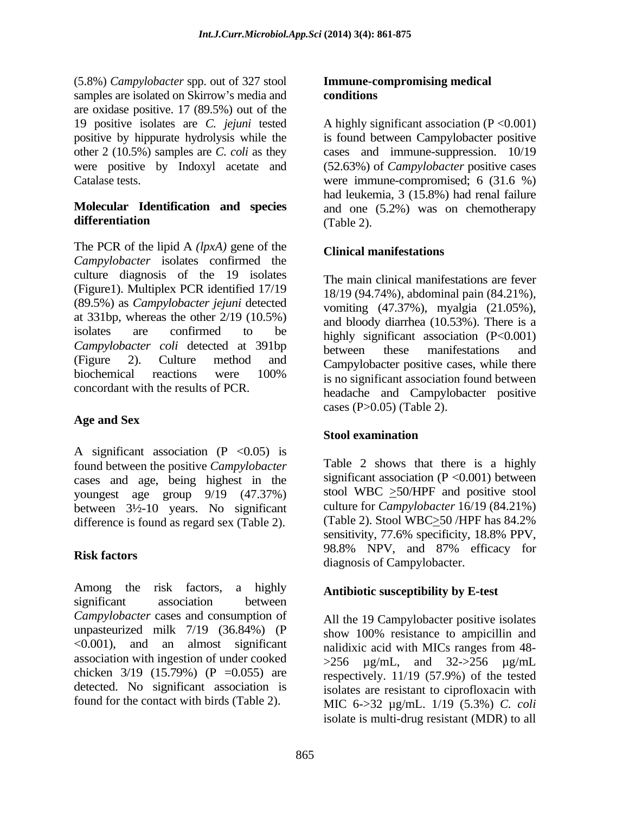(5.8%) *Campylobacter* spp. out of 327 stool samples are isolated on Skirrow's media and **conditions** are oxidase positive. 17 (89.5%) out of the other 2 (10.5%) samples are *C. coli* as they

The PCR of the lipid A *(lpxA)* gene of the Clinical manifestations *Campylobacter* isolates confirmed the culture diagnosis of the 19 isolates (Figure1). Multiplex PCR identified 17/19 (89.5%) as *Campylobacter jejuni* detected at 331bp, whereas the other 2/19 (10.5%) isolates are confirmed to be highly significant association  $(P<0.001)$ *Campylobacter coli* detected at 391bp **between** these manifestations and (Figure 2). Culture method and Campylobacter positive cases, while there biochemical reactions were  $100\%$  is no significant association found between

## **Age and Sex**

A significant association  $(P \le 0.05)$  is found between the positive *Campylobacter* cases and age, being highest in the youngest age group 9/19 (47.37%) between 3½-10 years. No significant

Among the risk factors, a highly **Antiplical Antiplicanal America E-test** significant association between *Campylobacter* cases and consumption of unpasteurized milk 7/19 (36.84%) (P show 100% resistance to ampicillin and <0.001), and an almost significant association with ingestion of under cooked chicken  $3/19$  (15.79%) (P = 0.055) are detected. No significant association is

### **Immune-compromising medical conditions**

19 positive isolates are *C. jejuni* tested A highly significant association (P <0.001) positive by hippurate hydrolysis while the is found between Campylobacter positive were positive by Indoxyl acetate and (52.63%) of *Campylobacter* positive cases Catalase tests. were immune-compromised; 6 (31.6 %) **Molecular Identification and species** and one (5.2%) was on chemotherapy **differentiation** (Table 2). cases and immune-suppression. 10/19 had leukemia, 3 (15.8%) had renal failure (Table 2).

## **Clinical manifestations**

concordant with the results of PCR. headache and Campylobacter positive The main clinical manifestations are fever 18/19 (94.74%), abdominal pain (84.21%), vomiting (47.37%), myalgia (21.05%), and bloody diarrhea (10.53%). There is a between these manifestations and is no significant association found between cases (P>0.05) (Table 2).

# **Stool examination**

difference is found as regard sex (Table 2). (Table 2). Stool WBC $\geq$ 50/HPF has 84.2% sensitivity, 77.6% specificity, 18.8% PPV, **Risk factors**<br>
diagnosis of Campylobacter. Table 2 shows that there is a highly significant association  $(P \le 0.001)$  between stool WBC >50/HPF and positive stool culture for *Campylobacter* 16/19 (84.21%) (Table 2). Stool WBC $\geq$ 50 /HPF has 84.2% sensitivity, 77.6% specificity, 18.8% PPV, 98.8% NPV, and 87% efficacy for

## **Antibiotic susceptibility by E-test**

found for the contact with birds (Table 2). MIC  $6 \rightarrow 32 \mu g/mL$ .  $1/19 \ (5.3\%)$  *C. coli* All the 19 Campylobacter positive isolates show 100% resistance to ampicillin and nalidixic acid with MICs ranges from 48-  $>256$   $\mu$ g/mL, and 32- $>256$   $\mu$ g/mL respectively. 11/19 (57.9%) of the tested isolates are resistant to ciprofloxacin with isolate is multi-drug resistant (MDR) to all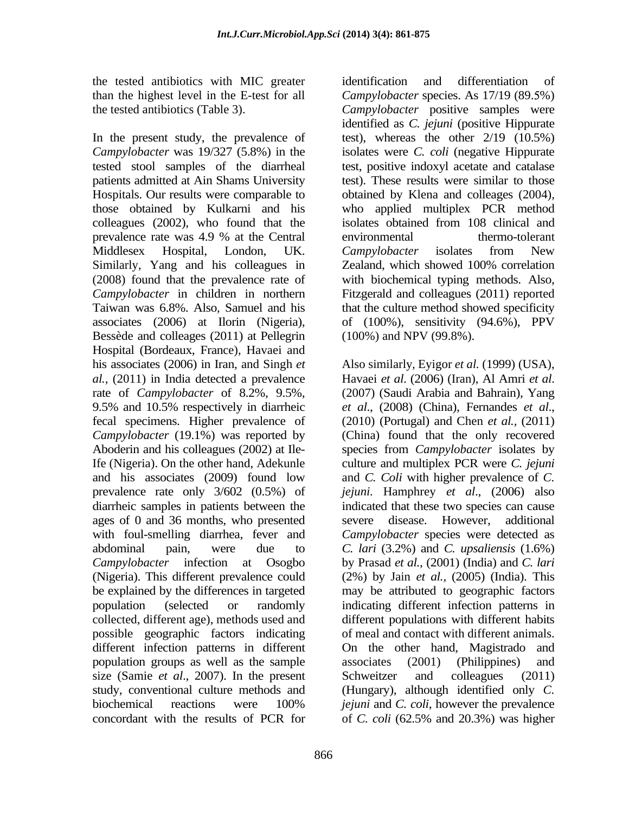the tested antibiotics with MIC greater

In the present study, the prevalence of test), whereas the other 2/19 (10.5%) *Campylobacter* was 19/327 (5.8%) in the isolates were *C. coli* (negative Hippurate tested stool samples of the diarrheal test, positive indoxyl acetate and catalase patients admitted at Ain Shams University test). These results were similar to those Hospitals. Our results were comparable to obtained by Klena and colleages (2004), those obtained by Kulkarni and his colleagues (2002), who found that the isolates obtained from 108 clinical and prevalence rate was 4.9 % at the Central Middlesex Hospital, London, UK. Campylobacter isolates from New Similarly, Yang and his colleagues in Zealand, which showed 100% correlation (2008) found that the prevalence rate of with biochemical typing methods. Also, *Campylobacter* in children in northern Fitzgerald and colleagues (2011) reported Taiwan was 6.8%. Also*,* Samuel and his that the culture method showed specificity associates (2006) at Ilorin (Nigeria), of (100%), sensitivity (94.6%), PPV Bessède and colleages (2011) at Pellegrin Hospital (Bordeaux, France), Havaei and his associates (2006) in Iran, and Singh *et al.*, (2011) in India detected a prevalence Havaei et al. (2006) (Iran), Al Amri et al. rate of *Campylobacter* of 8.2%, 9.5%, 9.5% and 10.5% respectively in diarrheic fecal specimens. Higher prevalence of (2010) (Portugal) and Chen *et al.,* (2011) *Campylobacter* (19.1%) was reported by (China) found that the only recovered Aboderin and his colleagues (2002) at Ile-species from *Campylobacter* isolates by Ife (Nigeria). On the other hand, Adekunle culture and multiplex PCR were *C. jejuni* and his associates (2009) found low and *C. Coli* with higher prevalence of *C.*  prevalence rate only 3/602 (0.5%) of *jejuni*. Hamphrey *et al*., (2006) also diarrheic samples in patients between the ages of 0 and 36 months, who presented severe disease. However, additional with foul-smelling diarrhea, fever and *Campylobacter* species were detected as abdominal pain, were due to *C. lari* (3.2%) and *C. upsaliensis* (1.6%) *Campylobacter* infection at Osogbo by Prasad *et al.,* (2001) (India) and *C. lari* (Nigeria). This different prevalence could (2%) by Jain *et al.,* (2005) (India). This be explained by the differences in targeted may be attributed to geographic factors population (selected or randomly indicating different infection patterns in collected, different age), methods used and different populations with different habits possible geographic factors indicating different infection patterns in different population groups as well as the sample size (Samie *et al.*, 2007). In the present Schweitzer and colleagues (2011) study, conventional culture methods and (Hungary), although identified only *C.*  biochemical reactions were 100% *jejuni* and *C. coli*, however the prevalence concordant with the results of PCR for of C. coli (62.5% and 20.3%) was higher

than the highest level in the E-test for all Campylobacter species. As 17/19 (89.5%) the tested antibiotics (Table 3). *Campylobacter* positive samples were identification and differentiation of identified as *C. jejuni* (positive Hippurate who applied multiplex PCR method isolates obtained from 108 clinical and environmental thermo-tolerant *Campylobacter* isolates from New (100%) and NPV (99.8%).

> Also similarly*,* Eyigor *et al.* (1999) (USA), Havaei *et al*. (2006) (Iran), Al Amri *et al*. (2007) (Saudi Arabia and Bahrain), Yang *et al*., (2008) (China), Fernandes *et al*., indicated that these two species can cause severe disease. However, additional of meal and contact with different animals. On the other hand, Magistrado and associates (2001) (Philippines) and Schweitzer and colleagues (2011) *jejuni* and *C. coli*, however the prevalence of *C. coli* (62.5% and 20.3%) was higher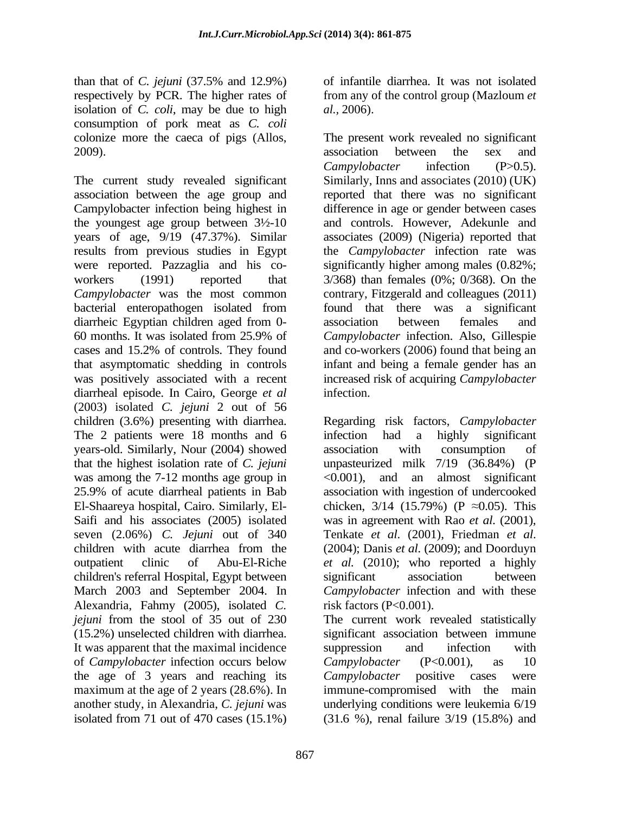than that of *C. jejuni* (37.5% and 12.9%) respectively by PCR. The higher rates of from any of the control group (Mazloum *et*  isolation of *C. coli*, may be due to high consumption of pork meat as *C. coli*

diarrheic Egyptian children aged from 0- association between females and diarrheal episode. In Cairo, George *et al* (2003) isolated *C. jejuni* 2 out of 56 children (3.6%) presenting with diarrhea. Regarding risk factors, *Campylobacter* The 2 patients were 18 months and 6 infection had a highly significant years-old. Similarly, Nour (2004) showed that the highest isolation rate of *C. jejuni* was among the  $7-12$  months age group in  $\leq 0.001$ , and an almost significant 25.9% of acute diarrheal patients in Bab association with ingestion of undercooked El-Shaareya hospital, Cairo. Similarly, El- chicken,  $3/14$  (15.79%) (P  $\approx$ 0.05). This Saifi and his associates (2005) isolated was in agreement with Rao *et al.* (2001), seven (2.06%) *C. Jejuni* out of 340 children with acute diarrhea from the (2004); Danis et al. (2009); and Doorduyn outpatient clinic of Abu-El-Riche *et al.* (2010); who reported a highly children's referral Hospital, Egypt between March 2003 and September 2004. In Alexandria, Fahmy (2005), isolated *C. jejuni* from the stool of 35 out of 230 The current work revealed statistically (15.2%) unselected children with diarrhea. significant association between immune It was apparent that the maximal incidence suppression and infection with of *Campylobacter* infection occurs below the age of 3 years and reaching its Campylobacter positive cases were maximum at the age of 2 years (28.6%). In immune-compromised with the main another study, in Alexandria, *C. jejuni* was underlying conditions were leukemia 6/19 isolated from 71 out of 470 cases (15.1%) (31.6 %), renal failure 3/19 (15.8%) and

of infantile diarrhea. It was not isolated *al.,* 2006).

colonize more the caeca of pigs (Allos, The present work revealed no significant 2009). association between the sex and The current study revealed significant Similarly, Inns and associates (2010) (UK) association between the age group and reported that there was no significant Campylobacter infection being highest in difference in age or gender between cases the youngest age group between 3½-10 and controls. However, Adekunle and years of age, 9/19 (47.37%). Similar associates (2009) (Nigeria) reported that results from previous studies in Egypt the *Campylobacter* infection rate was were reported. Pazzaglia and his co- significantly higher among males (0.82%; workers (1991) reported that  $3/368$ ) than females (0%; 0/368). On the *Campylobacter* was the most common contrary, Fitzgerald and colleagues (2011) bacterial enteropathogen isolated from found that there was a significant 60 months. It was isolated from 25.9% of Campylobacter infection. Also, Gillespie cases and 15.2% of controls. They found and co-workers (2006) found that being an that asymptomatic shedding in controls infant and being a female gender has an was positively associated with a recent increased risk of acquiring *Campylobacter* association between the sex and *Campylobacter* infection (P>0.5). found that there was a significant association between females and *Campylobacter* infection. Also, Gillespie infection.

> infection had a highly significant association with consumption of unpasteurized milk  $7/19$   $(36.84\%)$ <0.001), and an almost significant was in agreement with Rao *et al*. (2001), Tenkate *et al*. (2001), Friedman *et al*. (2004); Danis *et al*. (2009); and Doorduyn significant association between *Campylobacter* infection and with these risk factors  $(P<0.001)$ .

> suppression and infection with *Campylobacter* (P<0.001), as 10 *Campylobacter* positive cases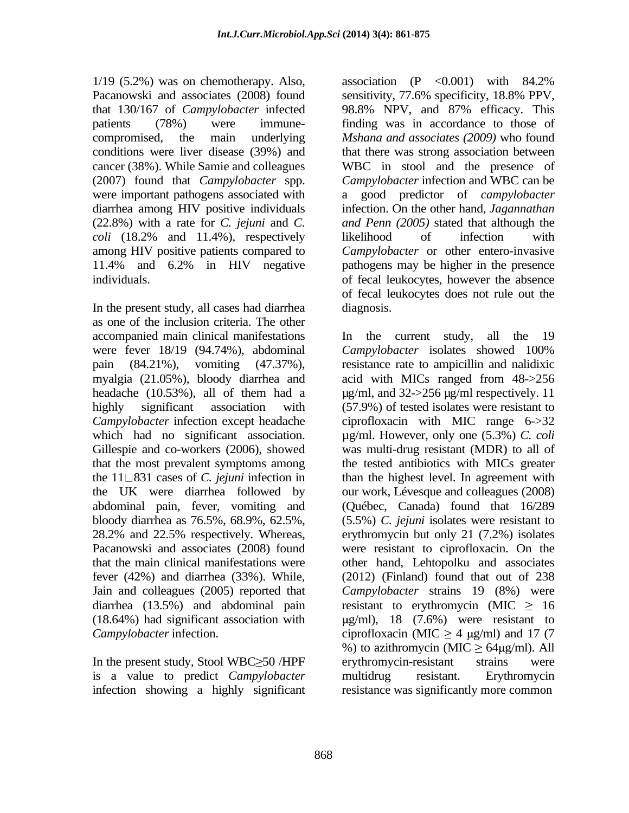$1/19$  (5.2%) was on chemotherapy. Also, association (P < 0.001) with 84.2% Pacanowski and associates (2008) found sensitivity, 77.6% specificity, 18.8% PPV, that 130/167 of *Campylobacter* infected were important pathogens associated with a *coli* (18.2% and 11.4%), respectively likelihood of infection with

In the present study, all cases had diarrhea as one of the inclusion criteria. The other accompanied main clinical manifestations 1 a the current study, all the 19 were fever 18/19 (94.74%), abdominal Campylobacter isolates showed 100% the 11 831 cases of *C. jejuni* infection in Jain and colleagues (2005) reported that

In the present study, Stool WBC $\geq$ 50 /HPF erythromycin-resistant strains were is a value to predict *Campylobacter*

patients (78%) were immune- finding was in accordance to those of compromised, the main underlying *Mshana and associates (2009)* who found conditions were liver disease (39%) and that there was strong association between cancer (38%). While Samie and colleagues WBC in stool and the presence of (2007) found that *Campylobacter* spp. *Campylobacter* infection and WBC can be diarrhea among HIV positive individuals infection. On the other hand, *Jagannathan*  (22.8%) with a rate for *C. jejuni* and *C. and Penn (2005)* stated that although the among HIV positive patients compared to *Campylobacter* or other entero-invasive 11.4% and 6.2% in HIV negative individuals. of fecal leukocytes, however the absence association  $(P \le 0.001)$  with 84.2% sensitivity, 77.6% specificity, 18.8% PPV, 98.8% NPV, and 87% efficacy. This a good predictor of *campylobacter* likelihood of infection with pathogens may be higher in the presence of fecal leukocytes does not rule out the diagnosis. The contract of the contract of the contract of the contract of the contract of the contract of the contract of the contract of the contract of the contract of the contract of the contract of the contract of the

pain (84.21%), vomiting (47.37%), resistance rate to ampicillin and nalidixic myalgia (21.05%), bloody diarrhea and acid with MICs ranged from 48->256 headache (10.53%), all of them had a µg/ml, and 32->256 µg/ml respectively. 11 highly significant association with (57.9%) of tested isolates were resistant to *Campylobacter* infection except headache ciprofloxacin with MIC range 6->32 which had no significant association.  $\mu$ g/ml. However, only one (5.3%) *C. coli* Gillespie and co-workers (2006), showed was multi-drug resistant (MDR) to all of that the most prevalent symptoms among the tested antibiotics with MICs greater the UK were diarrhea followed by our work, Lévesque and colleagues (2008) abdominal pain, fever, vomiting and (Québec, Canada) found that 16/289 bloody diarrhea as 76.5%, 68.9%, 62.5%, (5.5%) *C. jejuni* isolates were resistant to 28.2% and 22.5% respectively. Whereas, erythromycin but only 21 (7.2%) isolates Pacanowski and associates (2008) found were resistant to ciprofloxacin. On the that the main clinical manifestations were other hand, Lehtopolku and associates fever (42%) and diarrhea (33%). While, (2012) (Finland) found that out of 238 diarrhea (13.5%) and abdominal pain resistant to erythromycin (MIC  $\geq$  16 (18.64%) had significant association with  $\mu$ g/ml), 18 (7.6%) were resistant to *Campylobacter* infection. ciprofloxacin (MIC  $\geq$  4  $\mu$ g/ml) and 17 (7 infection showing a highly significant resistance was significantly more common In the current study, all the *Campylobacter*isolates showed 100% than the highest level. In agreement with *Campylobacter* strains 19 (8%) were %) to azithromycin (MIC  $\geq 64 \mu g/ml$ ). All erythromycin-resistant strains were multidrug resistant. Erythromycin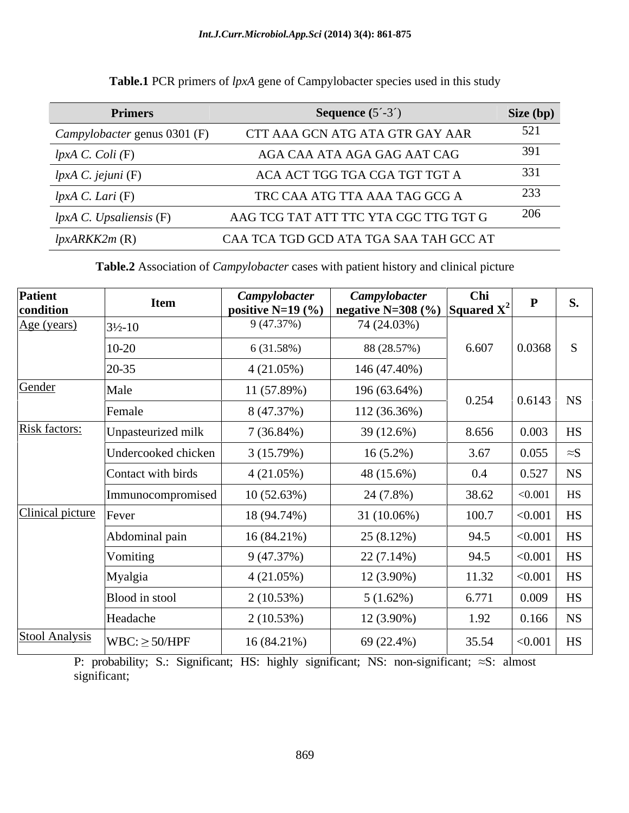| <b>Primers</b>               | <b>Sequence</b> $(5^{\textdegree}-3^{\textdegree})$ | Size (bp) |
|------------------------------|-----------------------------------------------------|-----------|
| Campylobacter genus 0301 (F) | CTT AAA GCN ATG ATA GTR GAY AAR                     | 521       |
| $lpxA$ C. Coli $(F)$         | AGA CAA ATA AGA GAG AAT CAG                         | 391       |
| lpxA C. jejuni (F)           | ACA ACT TGG TGA CGA TGT TGT A                       | 331       |
| lpxA C. Lari(F)              | TRC CAA ATG TTA AAA TAG GCG A                       | 233       |
| lpxA C. Upsaliensis (F)      | AAG TCG TAT ATT TTC YTA CGC TTG TGT G               | 206       |
| $lpxARKK2m$ (R)              | CAA TCA TGD GCD ATA TGA SAA TAH GCC AT              |           |

# **Table.1** PCR primers of *lpxA* gene of Campylobacter species used in this study

**Table.2** Association of *Campylobacter* cases with patient history and clinical picture

| Patient<br>condition     | <b>Item</b>               | <b>Campylobacter</b><br>positive $N=19$ (%) | <b>Campylobacter</b><br>  negative N=308 (%)   Squared $X^2$ | Chi   |                      | <b>S.</b>    |
|--------------------------|---------------------------|---------------------------------------------|--------------------------------------------------------------|-------|----------------------|--------------|
| Age (years)              | $3\frac{1}{2} - 10$       | 9 (47.37%)                                  | 74 (24.03%)                                                  |       |                      |              |
|                          | 10-20                     | 6 (31.58%)                                  | 88 (28.57%)                                                  | 6.607 | 0.0368               | S            |
|                          | $20 - 35$                 | $4(21.05\%)$                                | 146 (47.40%)                                                 |       |                      |              |
| Gender                   | Male                      | 11(57.89%)                                  | 196 (63.64%)                                                 |       |                      |              |
|                          | Female                    | 8 (47.37%)                                  | 112 (36.36%)                                                 | 0.254 |                      | $0.6143$ NS  |
| <b>Risk factors:</b>     | <b>Jnpasteurized milk</b> | 7(36.84%)                                   | 39(12.6%)                                                    | 8.656 | 0.003                | <b>HS</b>    |
|                          | Undercooked chicken       | 3(15.79%)                                   | $16(5.2\%)$                                                  | 3.67  | 0.055<br>$\approx S$ |              |
|                          | Contact with birds        | $4(21.05\%)$                                | 48 (15.6%)                                                   | 0.4   | 0.527                | <b>NS</b>    |
|                          | mmunocompromised          | 10(52.63%)                                  | 24 (7.8%)                                                    | 38.62 | < 0.001              | HS           |
| Clinical picture   Fever |                           | 18 (94.74%)                                 | 31 (10.06%)                                                  | 100.7 | < 0.001              | <b>HS</b>    |
|                          | Abdominal pain            | 16(84.21%)                                  | 25(8.12%)                                                    | 94.5  | < 0.001              | <b>HS</b>    |
|                          | Vomiting                  | 9(47.37%)                                   | $22(7.14\%)$                                                 | 94.5  | < 0.001              | <b>HS</b>    |
|                          | Myalgia                   | $4(21.05\%)$                                | $12(3.90\%)$                                                 | 11.32 | < 0.001              | <b>HS</b>    |
|                          | Blood in stool            | 2(10.53%)                                   | $5(1.62\%)$                                                  | 6.771 | 0.009                | <b>HS</b>    |
|                          | Headache                  | 2(10.53%)                                   | $12(3.90\%)$                                                 | 1.92  | 0.166                | <b>NS</b>    |
| <b>Stool Analysis</b>    | $WBC: \geq 50/HPF$        | 16(84.21%)                                  | 69 (22.4%)                                                   | 35.54 |                      | $< 0.001$ HS |

P: probability; S.: Significant; HS: highly significant; NS: non-significant;  $\approx$ S: almost significant;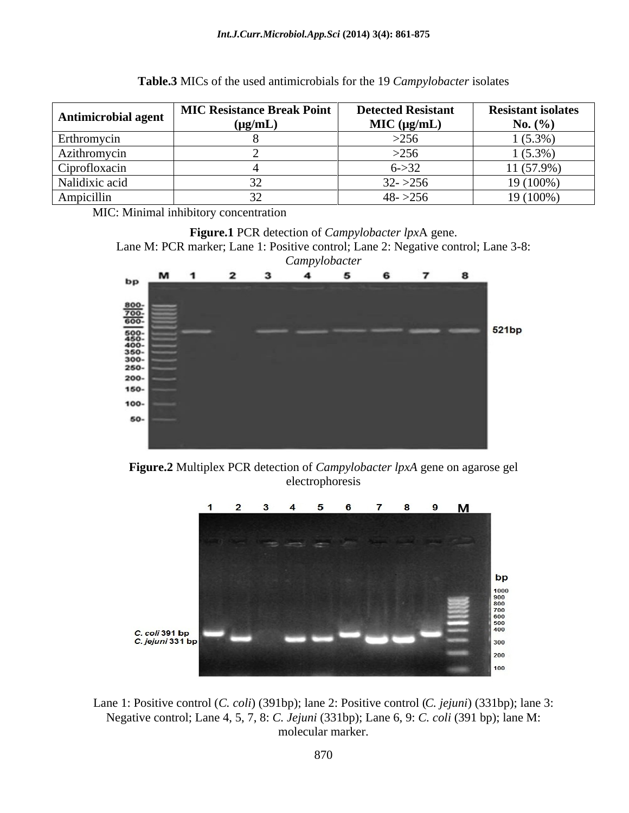| <b>Antimicrobial agent</b> | MIC Resistance Break Point<br>$(\mu g/mL)$ | <b>Detected Resistant</b><br>MIC (µg/mL) | <b>Resistant isolates</b><br>No. $(\% )$ |
|----------------------------|--------------------------------------------|------------------------------------------|------------------------------------------|
| Erthromycin                |                                            | >256                                     | $(5.3\%$                                 |
| Azithromycin               |                                            | 256                                      | (5.3%                                    |
| $\sim$<br>Ciprofloxacin    |                                            | $6 - > 32$                               | 11 (57.9%)                               |
| Nalidixic acid             |                                            | $32 - 256$                               | 19 (100%)                                |
| Ampicillin                 |                                            | $48 - 256$                               | 19 (100%)                                |

| Table.3 MICs<br>d antimicrobials for the 19 Campylobacter isolates<br>$\sim$ s of the used<br>NGC anth |  |
|--------------------------------------------------------------------------------------------------------|--|
|--------------------------------------------------------------------------------------------------------|--|

MIC: Minimal inhibitory concentration





**Figure.2** Multiplex PCR detection of *Campylobacter lpxA* gene on agarose gel electrophoresis



Lane 1: Positive control (*C. coli*) (391bp); lane 2: Positive control (*C. jejuni*) (331bp); lane 3: Negative control; Lane 4, 5, 7, 8: *C. Jejuni* (331bp); Lane 6, 9: *C. coli* (391 bp); lane M: molecular marker.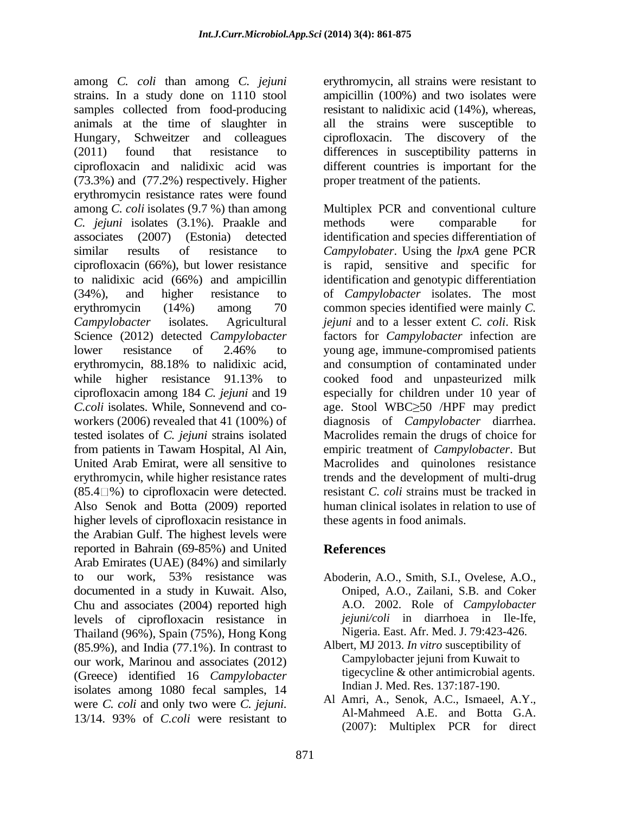among *C. coli* than among *C. jejuni* strains. In a study done on 1110 stool ampicillin (100%) and two isolates were samples collected from food-producing animals at the time of slaughter in Hungary, Schweitzer and colleagues ciprofloxacin. The discovery of the (2011) found that resistance to differences in susceptibility patterns in ciprofloxacin and nalidixic acid was different countries is important for the (73.3%) and (77.2%) respectively. Higher erythromycin resistance rates were found among *C. coli* isolates (9.7 %) than among Multiplex PCR and conventional culture *C. jejuni* isolates (3.1%). Praakle and associates (2007) (Estonia) detected identification and species differentiation of similar results of resistance to *Campylobater*. Using the *lpxA* gene PCR ciprofloxacin (66%), but lower resistance to nalidixic acid (66%) and ampicillin (34%), and higher resistance to of *Campylobacter* isolates. The most erythromycin (14%) among 70 common species identified were mainly *C*. *Campylobacter* isolates. Agricultural *jejuni* and to a lesser extent *C. coli*. Risk Science (2012) detected *Campylobacter* factors for *Campylobacter* infection are lower resistance of 2.46% to young age, immune-compromised patients erythromycin, 88.18% to nalidixic acid, and consumption of contaminated under while higher resistance 91.13% to cooked food and unpasteurized milk ciprofloxacin among 184 *C. jejuni* and 19 especially for children under 10 year of *C.coli* isolates. While, Sonnevend and co- age. Stool WBC 50 /HPF may predict workers (2006) revealed that 41 (100%) of diagnosis of *Campylobacter* diarrhea. tested isolates of *C. jejuni* strains isolated Macrolides remain the drugs of choice for from patients in Tawam Hospital, Al Ain, empiric treatment of *Campylobacter*. But United Arab Emirat, were all sensitive to Macrolides and quinolones resistance erythromycin, while higher resistance rates  $(85.4 \square\%)$  to ciprofloxacin were detected. resistant *C. coli* strains must be tracked in Also Senok and Botta (2009) reported higher levels of ciprofloxacin resistance in the Arabian Gulf. The highest levels were reported in Bahrain (69-85%) and United Arab Emirates (UAE) (84%) and similarly to our work, 53% resistance was documented in a study in Kuwait. Also, Chu and associates (2004) reported high levels of ciprofloxacin resistance in Thailand (96%), Spain (75%), Hong Kong (85.9%), and India (77.1%). In contrast to our work, Marinou and associates (2012) (Greece) identified 16 *Campylobacter* isolates among 1080 fecal samples, 14

erythromycin, all strains were resistant to resistant to nalidixic acid (14%), whereas, all the strains were susceptible to proper treatment of the patients.

methods were comparable for is rapid, sensitive and specific for identification and genotypic differentiation young age, immune-compromised patients cooked food and unpasteurized milk trends and the development of multi-drug human clinical isolates in relation to use of these agents in food animals.

# **References**

- Aboderin, A.O., Smith, S.I., Ovelese, A.O., Oniped, A.O., Zailani, S.B. and Coker A.O. 2002. Role of *Campylobacter jejuni/coli* in diarrhoea in Ile-Ife, Nigeria. East. Afr. Med. J. 79:423-426.
- Albert, MJ 2013. *In vitro* susceptibility of Campylobacter jejuni from Kuwait to tigecycline & other antimicrobial agents. Indian J. Med. Res. 137:187-190.
- were *C. coli* and only two were *C. jejuni*. All Amri, A., Senok, A.C., Ismael, A.Y.,  $13/14$ . 93% of *C.coli* were resistant to  $(2007)$ . Makinder, PCP for direct Al Amri, A., Senok, A.C., Ismaeel, A.Y., Al-Mahmeed A.E. and Botta G.A. (2007): Multiplex PCR for direct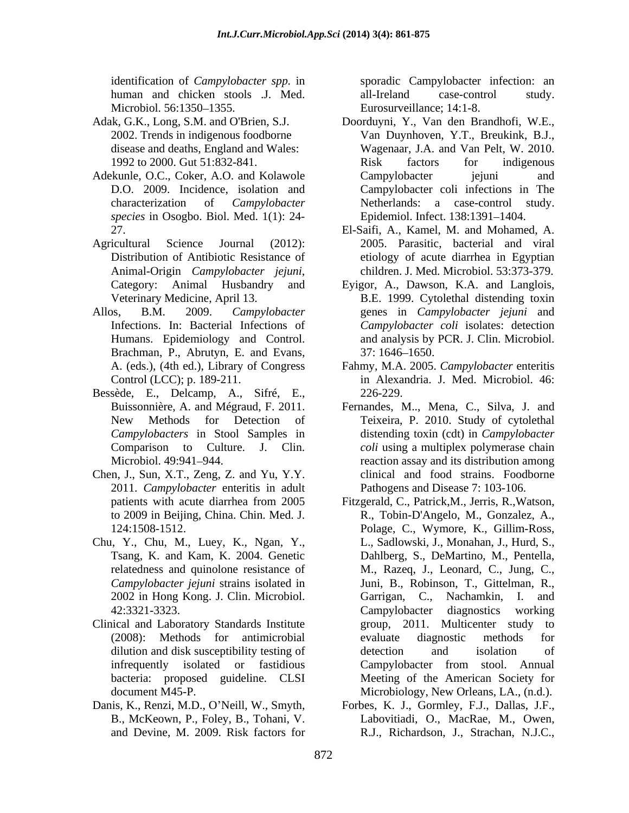human and chicken stools .J. Med. Microbiol. 56:1350–1355. Eurosurveillance; 14:1-8.

- 
- Adekunle, O.C., Coker, A.O. and Kolawole Campylobacter iejuni and D.O. 2009. Incidence, isolation and *species* in Osogbo. Biol. Med. 1(1): 24-
- Animal-Origin *Campylobacter jejuni*, children J. Med. Microbiol. 53:373-379.<br>Category: Animal Husbandry and Eyigor, A., Dawson, K.A. and Langlois,
- Brachman, P., Abrutyn, E. and Evans,
- Bessède, E., Delcamp, A., Sifré, E.,
- Chen, J., Sun, X.T., Zeng, Z. and Yu, Y.Y. 2011. *Campylobacter* enteritis in adult
- Chu, Y., Chu, M., Luey, K., Ngan, Y.,
- Clinical and Laboratory Standards Institute Theorem Standards Institute Theorem Standards Institute Terms and Multicenter study to
- 

identification of *Campylobacter spp.* in sporadic Campylobacter infection: an all-Ireland case-control study. Eurosurveillance; 14:1-8.

- Adak, G.K., Long, S.M. and O'Brien, S.J. Doorduyni, Y., Van den Brandhofi, W.E., 2002. Trends in indigenous foodborne Van Duynhoven, Y.T., Breukink, B.J., disease and deaths, England and Wales: Wagenaar, J.A. and Van Pelt, W. 2010. 1992 to 2000. Gut 51:832-841. characterization of *Campylobacter*  Netherlands: a case-control study. Risk factors for indigenous Campylobacter jejuni and Campylobacter coli infections in The Epidemiol. Infect. 138:1391-1404.
- 27. El-Saifi, A., Kamel, M. and Mohamed, A. Agricultural Science Journal (2012): 2005. Parasitic, bacterial and viral Distribution of Antibiotic Resistance of etiology of acute diarrhea in Egyptian children. J. Med. Microbiol. 53:373-379.
- Veterinary Medicine, April 13. B.E. 1999. Cytolethal distending toxin Allos, B.M. 2009. *Campylobacter* genes in *Campylobacter jejuni* and Infections. In: Bacterial Infections of *Campylobacter coli* isolates: detection Humans. Epidemiology and Control. and analysis by PCR. J. Clin. Microbiol. Eyigor, A., Dawson, K.A. and Langlois, 37: 1646–1650.
	- A. (eds.), (4th ed.), Library of Congress Fahmy, M.A. 2005. *Campylobacter* enteritis Control (LCC); p. 189-211. in Alexandria. J. Med. Microbiol. 46: 226-229.
	- Buissonnière, A. and Mégraud, F. 2011. Fernandes, M.., Mena, C., Silva, J. and New Methods for Detection of Teixeira, P. 2010. Study of cytolethal *Campylobacters* in Stool Samples in distending toxin (cdt) in *Campylobacter*  Comparison to Culture. J. Clin. *coli* using a multiplex polymerase chain Microbiol. 49:941 944. reaction assay and its distribution among clinical and food strains. Foodborne Pathogens and Disease 7: 103-106.
	- patients with acute diarrhea from 2005 Fitzgerald, C., Patrick,M., Jerris, R.,Watson, to 2009 in Beijing, China. Chin. Med. J. R., Tobin-D'Angelo, M., Gonzalez, A., 124:1508-1512. Polage, C., Wymore, K., Gillim-Ross, Tsang, K. and Kam, K. 2004. Genetic Dahlberg, S., DeMartino, M., Pentella, relatedness and quinolone resistance of M., Razeq, J., Leonard, C., Jung, C., *Campylobacter jejuni* strains isolated in Juni, B., Robinson, T., Gittelman, R., 2002 in Hong Kong. J. Clin. Microbiol. 42:3321-3323. (2008): Methods for antimicrobial dilution and disk susceptibility testing of detection and isolation of infrequently isolated or fastidious bacteria: proposed guideline. CLSI Meeting of the American Society for document M45-P. Microbiology, New Orleans, LA., (n.d.). L., Sadlowski, J., Monahan, J., Hurd, S., Garrigan, C., Nachamkin, I. and Campylobacter diagnostics working group, 2011. Multicenter study evaluate diagnostic methods for detection and isolation of Campylobacter from stool. Annual
- Danis, K., Renzi, M.D., O'Neill, W., Smyth, Forbes, K. J., Gormley, F.J., Dallas, J.F., B., McKeown, P., Foley, B., Tohani, V. Labovitiadi, O., MacRae, M., Owen, and Devine, M. 2009. Risk factors for R.J., Richardson, J., Strachan, N.J.C.,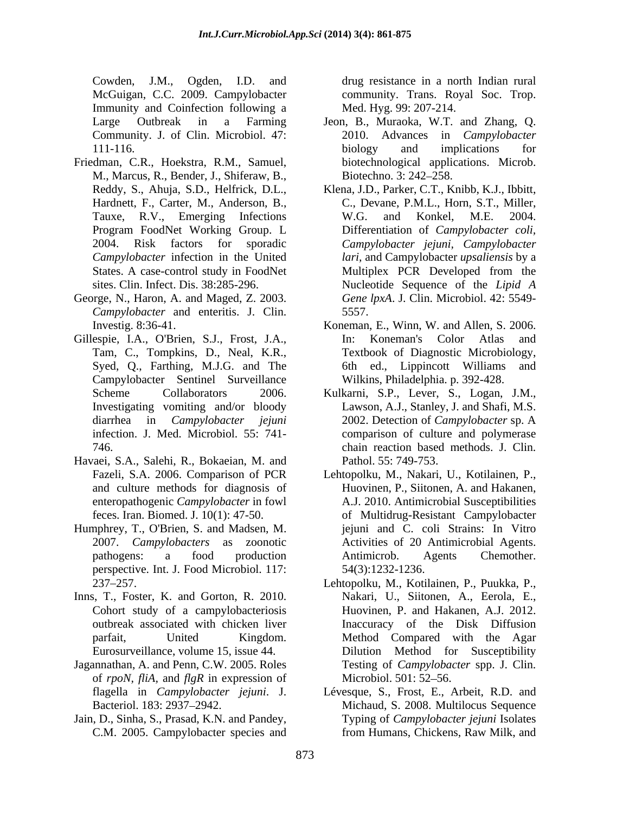Cowden, J.M., Ogden, I.D. and drug resistance in a north Indian rural McGuigan, C.C. 2009. Campylobacter Immunity and Coinfection following a Community. J. of Clin. Microbiol. 47:

- Friedman, C.R., Hoekstra, R.M., Samuel, M., Marcus, R., Bender, J., Shiferaw, B.,
- George, N., Haron, A. and Maged, Z. 2003. *Campylobacter* and enteritis. J. Clin. 5557.
- Gillespie, I.A., O'Brien, S.J., Frost, J.A., In: Koneman's Color Atlas and Tam, C., Tompkins, D., Neal, K.R., Campylobacter Sentinel Surveillance
- Havaei, S.A., Salehi, R., Bokaeian, M. and
- Humphrey, T., O'Brien, S. and Madsen, M. perspective. Int. J. Food Microbiol. 117:
- Inns, T., Foster, K. and Gorton, R. 2010.
- Jagannathan, A. and Penn, C.W. 2005. Roles of *rpoN, fliA,* and *flgR* in expression of
- Jain, D., Sinha, S., Prasad, K.N. and Pandey,

community. Trans. Royal Soc. Trop. Med. Hyg. 99: 207-214.

- Large Outbreak in a Farming Jeon, B., Muraoka, W.T. and Zhang, Q. 111-116. biology and implications for 2010. Advances in *Campylobacter* biology and implications for biotechnological applications. Microb. Biotechno. 3: 242–258.
- Reddy, S., Ahuja, S.D., Helfrick, D.L., Klena, J.D., Parker, C.T., Knibb, K.J., Ibbitt, Hardnett, F., Carter, M., Anderson, B., C., Devane, P.M.L., Horn, S.T., Miller, Tauxe, R.V., Emerging Infections W.G. and Konkel, M.E. 2004. Program FoodNet Working Group. L Differentiation of *Campylobacter coli*, 2004. Risk factors for sporadic *Campylobacter jejuni, Campylobacter Campylobacter* infection in the United *lari,* and Campylobacter *upsaliensis* by a States. A case-control study in FoodNet Multiplex PCR Developed from the sites. Clin. Infect. Dis. 38:285-296. Nucleotide Sequence of the *Lipid A* W.G. and Konkel, M.E. 2004. Differentiation of *Campylobacter coli,* Multiplex PCR Developed from the *Gene lpxA*. J. Clin. Microbiol. 42: 5549- 5557.
- Investig. 8:36-41. Koneman, E., Winn, W. and Allen, S. 2006. Syed, Q., Farthing, M.J.G. and The 6th ed., Lippincott Williams and In: Koneman's Color Atlas and Textbook of Diagnostic Microbiology, 6th ed., Lippincott Williams Wilkins, Philadelphia. p. 392-428.
- Scheme Collaborators 2006. Kulkarni, S.P., Lever, S., Logan, J.M., Scheme Collaborators 2006. Kulkarni, S.P., Lever, S., Logan, J.M.,<br>Investigating vomiting and/or bloody Lawson, A.J., Stanley, J. and Shafi, M.S. diarrhea in *Campylobacter jejuni* infection. J. Med. Microbiol. 55: 741- comparison of culture and polymerase 746. chain reaction based methods. J. Clin. 2002. Detection of *Campylobacter* sp. A Pathol. 55: 749-753.
- Fazeli, S.A. 2006. Comparison of PCR Lehtopolku, M., Nakari, U., Kotilainen, P., and culture methods for diagnosis of Huovinen,P., Siitonen, A. and Hakanen, enteropathogenic *Campylobacter* in fowl A.J. 2010. Antimicrobial Susceptibilities feces. Iran. Biomed. J. 10(1): 47-50. of Multidrug-Resistant Campylobacter 2007. *Campylobacters* as zoonotic Activities of 20 Antimicrobial Agents. pathogens: a food production Antimicrob. Agents Chemother. jejuni and C. coli Strains: In Vitro Antimicrob. Agents Chemother. 54(3):1232-1236.
- 237 257. Lehtopolku, M., Kotilainen, P., Puukka, P., Cohort study of a campylobacteriosis Huovinen, P. and Hakanen, A.J. 2012. outbreak associated with chicken liver Inaccuracy of the Disk Diffusion parfait, United Kingdom. Method Compared with the Agar Eurosurveillance, volume 15, issue 44. Dilution Method for Susceptibility Nakari, U., Siitonen, A., Eerola, E., Testing of *Campylobacter* spp. J. Clin. Microbiol. 501: 52–56.
- flagella in *Campylobacter jejuni*. J. Lévesque, S., Frost, E., Arbeit, R.D. and Bacteriol. 183: 2937 2942. Michaud, S. 2008. Multilocus Sequence C.M. 2005. Campylobacter species and from Humans, Chickens, Raw Milk, and Typing of *Campylobacter jejuni* Isolates from Humans, Chickens, Raw Milk, and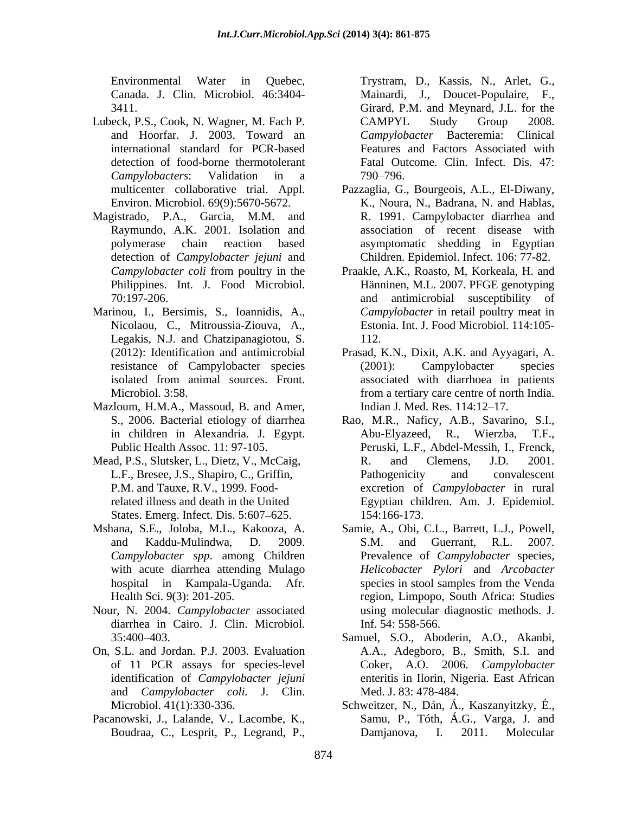- Lubeck, P.S., Cook, N. Wagner, M. Fach P.
- Magistrado, P.A., Garcia, M.M. and detection of *Campylobacter jejuni* and Children. Epidemiol. Infect. 106: 77-82.
- Marinou, I., Bersimis, S., Ioannidis, A., Nicolaou, C., Mitroussia-Ziouva, A., Legakis, N.J. and Chatzipanagiotou, S.
- Mazloum, H.M.A., Massoud, B. and Amer,
- P.M. and Tauxe, R.V., 1999. Food-States. Emerg. Infect. Dis. 5:607–625. 154:166-173.
- 
- Nour, N. 2004. *Campylobacter* associated diarrhea in Cairo. J. Clin. Microbiol.
- On, S.L. and Jordan. P.J. 2003. Evaluation and *Campylobacter coli.* J. Clin.
- Pacanowski, J., Lalande, V., Lacombe, K.,

Environmental Water in Quebec, Trystram, D., Kassis, N., Arlet, G., Canada. J. Clin. Microbiol. 46:3404- Mainardi, J., Doucet-Populaire, F., 3411. Girard, P.M. and Meynard, J.L. for the and Hoorfar. J. 2003. Toward an *Campylobacter* Bacteremia: Clinical international standard for PCR-based Features and Factors Associated with detection of food-borne thermotolerant Fatal Outcome. Clin. Infect. Dis. 47: *Campylobacters*: Validation in a CAMPYL Study Group 2008. 790 796.

- multicenter collaborative trial. Appl. Pazzaglia, G., Bourgeois, A.L., El-Diwany, Environ. Microbiol. 69(9):5670-5672. K., Noura, N., Badrana, N. and Hablas, Raymundo, A.K. 2001. Isolation and association of recent disease with polymerase chain reaction based asymptomatic shedding in Egyptian R. 1991. Campylobacter diarrhea and
- *Campylobacter coli* from poultry in the Praakle, A.K., Roasto, M, Korkeala, H. and Philippines. Int. J. Food Microbiol. Hänninen, M.L. 2007. PFGE genotyping 70:197-206. and antimicrobial susceptibility of *Campylobacter* in retail poultry meat in Estonia. Int. J. Food Microbiol. 114:105- 112.
- (2012): Identification and antimicrobial Prasad, K.N., Dixit, A.K. and Ayyagari, A. resistance of Campylobacter species (2001): Campylobacter species isolated from animal sources. Front. associated with diarrhoea in patients Microbiol. 3:58. from a tertiary care centre of north India. (2001): Campylobacter species associated with diarrhoea in patients Indian J. Med. Res. 114:12-17.
- S., 2006. Bacterial etiology of diarrhea Rao, M.R., Naficy, A.B., Savarino, S.I., in children in Alexandria. J. Egypt. Public Health Assoc. 11: 97-105. Peruski, L.F., Abdel-Messih, I., Frenck, Mead, P.S., Slutsker, L., Dietz, V., McCaig, R. and Clemens, J.D. 2001. L.F., Bresee, J.S., Shapiro, C., Griffin, related illness and death in the United Egyptian children. Am. J. Epidemiol. Abu-Elyazeed, R., Wierzba, R. and Clemens, J.D. 2001. Pathogenicity and convalescent excretion of *Campylobacter* in rural 154:166-173.
- Mshana, S.E., Joloba, M.L., Kakooza, A. Samie, A., Obi, C.L., Barrett, L.J., Powell, and Kaddu-Mulindwa, D. 2009. *Campylobacter spp*. among Children Prevalence of *Campylobacter* species, with acute diarrhea attending Mulago *Helicobacter Pylori* and *Arcobacter* hospital in Kampala-Uganda. Afr. Health Sci. 9(3): 201-205. region, Limpopo, South Africa: Studies S.M. and Guerrant, R.L. 2007. species in stool samples from the Venda using molecular diagnostic methods.J. Inf. 54: 558-566.
	- 35:400 403. Samuel, S.O., Aboderin, A.O., Akanbi, of 11 PCR assays for species-level Coker, A.O. 2006. *Campylobacter* identification of *Campylobacter jejuni* enteritis in Ilorin, Nigeria. East African A.A., Adegboro, B., Smith, S.I. and Med. J. 83: 478-484.
	- Microbiol. 41(1):330-336. Schweitzer, N., Dán, Á., Kaszanyitzky, É., Boudraa, C., Lesprit, P., Legrand, P., Damjanova, I. 2011. Molecular Samu, P., Tóth, Á.G., Varga, J. and Damjanova, I. 2011. Molecular